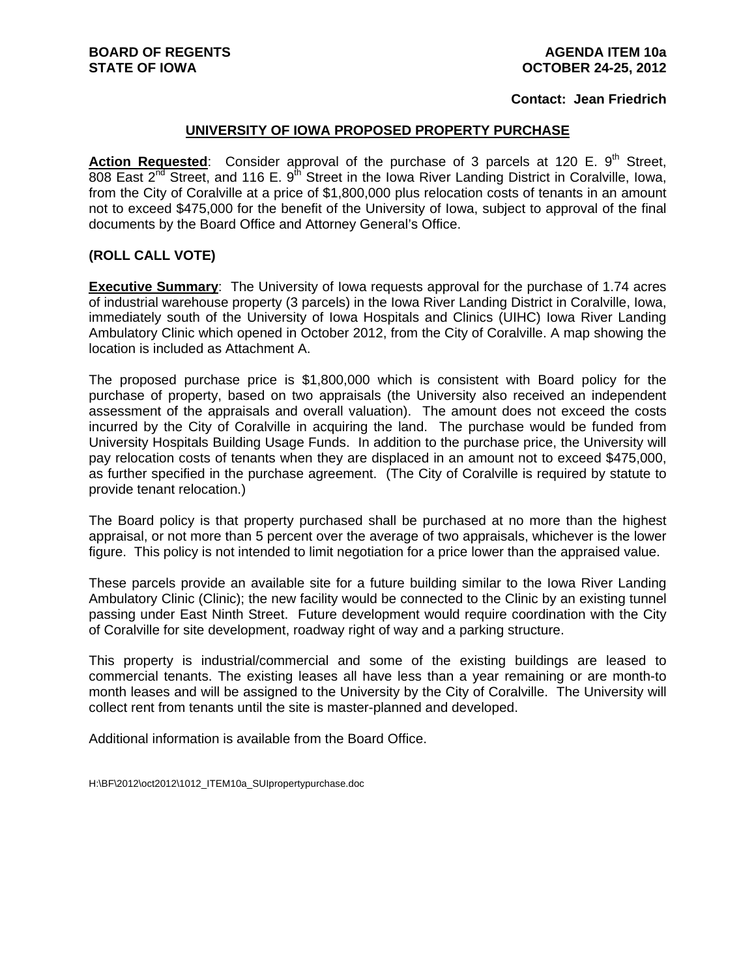## **Contact: Jean Friedrich**

## **UNIVERSITY OF IOWA PROPOSED PROPERTY PURCHASE**

**Action Requested:** Consider approval of the purchase of 3 parcels at 120 E. 9<sup>th</sup> Street, 808 East  $2^{nd}$  Street, and 116 E. 9<sup>th</sup> Street in the Iowa River Landing District in Coralville, Iowa, from the City of Coralville at a price of \$1,800,000 plus relocation costs of tenants in an amount not to exceed \$475,000 for the benefit of the University of Iowa, subject to approval of the final documents by the Board Office and Attorney General's Office.

## **(ROLL CALL VOTE)**

**Executive Summary**: The University of Iowa requests approval for the purchase of 1.74 acres of industrial warehouse property (3 parcels) in the Iowa River Landing District in Coralville, Iowa, immediately south of the University of Iowa Hospitals and Clinics (UIHC) Iowa River Landing Ambulatory Clinic which opened in October 2012, from the City of Coralville. A map showing the location is included as Attachment A.

The proposed purchase price is \$1,800,000 which is consistent with Board policy for the purchase of property, based on two appraisals (the University also received an independent assessment of the appraisals and overall valuation). The amount does not exceed the costs incurred by the City of Coralville in acquiring the land. The purchase would be funded from University Hospitals Building Usage Funds. In addition to the purchase price, the University will pay relocation costs of tenants when they are displaced in an amount not to exceed \$475,000, as further specified in the purchase agreement. (The City of Coralville is required by statute to provide tenant relocation.)

The Board policy is that property purchased shall be purchased at no more than the highest appraisal, or not more than 5 percent over the average of two appraisals, whichever is the lower figure. This policy is not intended to limit negotiation for a price lower than the appraised value.

These parcels provide an available site for a future building similar to the Iowa River Landing Ambulatory Clinic (Clinic); the new facility would be connected to the Clinic by an existing tunnel passing under East Ninth Street. Future development would require coordination with the City of Coralville for site development, roadway right of way and a parking structure.

This property is industrial/commercial and some of the existing buildings are leased to commercial tenants. The existing leases all have less than a year remaining or are month-to month leases and will be assigned to the University by the City of Coralville. The University will collect rent from tenants until the site is master-planned and developed.

Additional information is available from the Board Office.

H:\BF\2012\oct2012\1012\_ITEM10a\_SUIpropertypurchase.doc